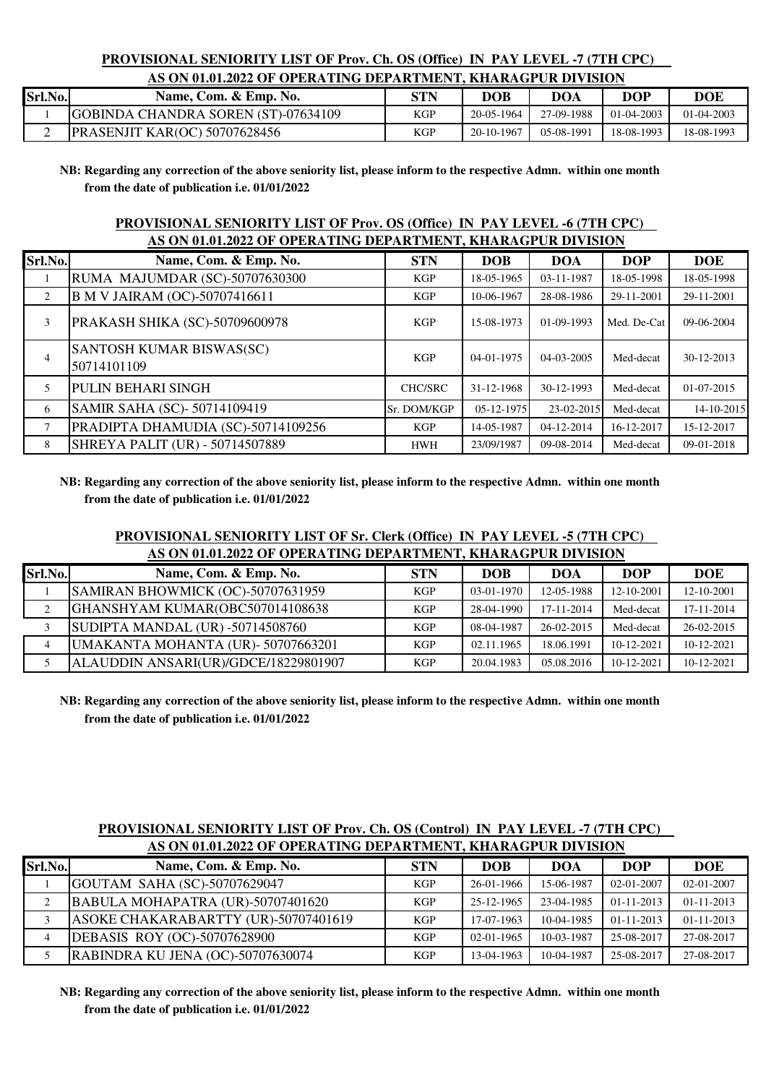# **PROVISIONAL SENIORITY LIST OF Prov. Ch. OS (Office) IN PAY LEVEL -7 (7TH CPC)**

|         | AS ON 01.01.2022 OF OPERATING DEPARTMENT, KHARAGPUR DIVISION |            |            |            |                  |            |
|---------|--------------------------------------------------------------|------------|------------|------------|------------------|------------|
| Srl.No. | Name, Com. & Emp. No.                                        | <b>STN</b> | DOB        | DOA        | DOP              | <b>DOE</b> |
|         | <b>GOBINDA CHANDRA SOREN (ST)-07634109</b>                   | KGP        | 20-05-1964 | 27-09-1988 | $01 - 04 - 2003$ | 01-04-2003 |
|         | <b>IPRASENJIT KAR(OC) 50707628456</b>                        | KGP        | 20-10-1967 | 05-08-1991 | 18-08-1993       | 18-08-1993 |

 **NB: Regarding any correction of the above seniority list, please inform to the respective Admn. within one month from the date of publication i.e. 01/01/2022**

### **AS ON 01.01.2022 OF OPERATING DEPARTMENT, KHARAGPUR DIVISION PROVISIONAL SENIORITY LIST OF Prov. OS (Office) IN PAY LEVEL -6 (7TH CPC)**

| Srl.No. | Name, Com. & Emp. No.                   | <b>STN</b>     | <b>DOB</b>       | <b>DOA</b>       | <b>DOP</b>  | <b>DOE</b> |
|---------|-----------------------------------------|----------------|------------------|------------------|-------------|------------|
|         | RUMA MAJUMDAR (SC)-50707630300          | <b>KGP</b>     | 18-05-1965       | 03-11-1987       | 18-05-1998  | 18-05-1998 |
| 2       | B M V JAIRAM (OC)-50707416611           | <b>KGP</b>     | 10-06-1967       | 28-08-1986       | 29-11-2001  | 29-11-2001 |
| 3       | PRAKASH SHIKA (SC)-50709600978          | <b>KGP</b>     | 15-08-1973       | 01-09-1993       | Med. De-Cat | 09-06-2004 |
| 4       | SANTOSH KUMAR BISWAS(SC)<br>50714101109 | KGP            | $04 - 01 - 1975$ | $04 - 03 - 2005$ | Med-decat   | 30-12-2013 |
| 5       | PULIN BEHARI SINGH                      | <b>CHC/SRC</b> | 31-12-1968       | 30-12-1993       | Med-decat   | 01-07-2015 |
| 6       | SAMIR SAHA (SC)-50714109419             | Sr. DOM/KGP    | 05-12-1975       | 23-02-2015       | Med-decat   | 14-10-2015 |
|         | PRADIPTA DHAMUDIA (SC)-50714109256      | <b>KGP</b>     | 14-05-1987       | 04-12-2014       | 16-12-2017  | 15-12-2017 |
| 8       | SHREYA PALIT (UR) - 50714507889         | <b>HWH</b>     | 23/09/1987       | 09-08-2014       | Med-decat   | 09-01-2018 |

 **NB: Regarding any correction of the above seniority list, please inform to the respective Admn. within one month from the date of publication i.e. 01/01/2022**

#### **PROVISIONAL SENIORITY LIST OF Sr. Clerk (Office) IN PAY LEVEL -5 (7TH CPC) AS ON 01.01.2022 OF OPERATING DEPARTMENT, KHARAGPUR DIVISION**

| Srl.No. | Name, Com. & Emp. No.                | <b>STN</b> | <b>DOB</b> | DOA        | <b>DOP</b>   | <b>DOE</b>   |
|---------|--------------------------------------|------------|------------|------------|--------------|--------------|
|         | SAMIRAN BHOWMICK (OC)-50707631959    | KGP        | 03-01-1970 | 12-05-1988 | 12-10-2001   | 12-10-2001   |
|         | GHANSHYAM KUMAR(OBC507014108638      | <b>KGP</b> | 28-04-1990 | 17-11-2014 | Med-decat    | 17-11-2014   |
|         | SUDIPTA MANDAL (UR) -50714508760     | <b>KGP</b> | 08-04-1987 | 26-02-2015 | Med-decat    | $26-02-2015$ |
|         | UMAKANTA MOHANTA (UR)-50707663201    | <b>KGP</b> | 02.11.1965 | 18.06.1991 | $10-12-2021$ | $10-12-2021$ |
|         | ALAUDDIN ANSARI(UR)/GDCE/18229801907 | KGP        | 20.04.1983 | 05.08.2016 | $10-12-2021$ | $10-12-2021$ |

 **NB: Regarding any correction of the above seniority list, please inform to the respective Admn. within one month from the date of publication i.e. 01/01/2022**

|         | AS ON 01.01.2022 OF OPERATING DEPARTMENT, KHARAGPUR DIVISION |            |              |            |              |                  |
|---------|--------------------------------------------------------------|------------|--------------|------------|--------------|------------------|
| Srl.No. | Name, Com. & Emp. No.                                        | <b>STN</b> | <b>DOB</b>   | <b>DOA</b> | DOP          | <b>DOE</b>       |
|         | GOUTAM SAHA (SC)-50707629047                                 | <b>KGP</b> | 26-01-1966   | 15-06-1987 | 02-01-2007   | $02 - 01 - 2007$ |
|         | BABULA MOHAPATRA (UR)-50707401620                            | KGP        | 25-12-1965   | 23-04-1985 | $01-11-2013$ | $01-11-2013$     |
|         | ASOKE CHAKARABARTTY (UR)-50707401619                         | <b>KGP</b> | 17-07-1963   | 10-04-1985 | $01-11-2013$ | $01 - 11 - 2013$ |
|         | DEBASIS ROY (OC)-50707628900                                 | KGP        | $02-01-1965$ | 10-03-1987 | 25-08-2017   | 27-08-2017       |
|         | RABINDRA KU JENA (OC)-50707630074                            | <b>KGP</b> | 13-04-1963   | 10-04-1987 | 25-08-2017   | 27-08-2017       |

# **PROVISIONAL SENIORITY LIST OF Prov. Ch. OS (Control) IN PAY LEVEL -7 (7TH CPC) AS ON 01.01.2022 OF OPERATING DEPARTMENT, KHARAGPUR DIVISION**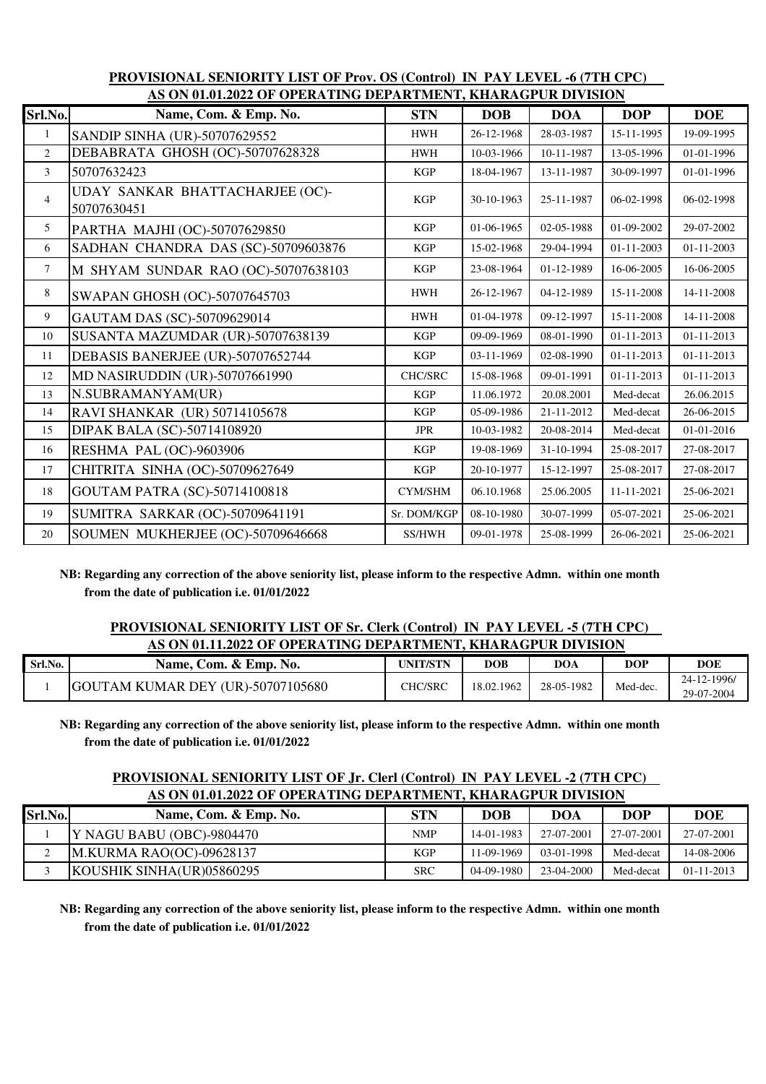|                | AS ON CHORSECE OF OFFINITING DEFANTMENT, KILIKAGI OK DI LISTON |                |            |            |                  |                  |
|----------------|----------------------------------------------------------------|----------------|------------|------------|------------------|------------------|
| Srl.No.        | Name, Com. & Emp. No.                                          | <b>STN</b>     | <b>DOB</b> | <b>DOA</b> | <b>DOP</b>       | <b>DOE</b>       |
| $\mathbf{1}$   | SANDIP SINHA (UR)-50707629552                                  | <b>HWH</b>     | 26-12-1968 | 28-03-1987 | 15-11-1995       | 19-09-1995       |
| $\overline{2}$ | DEBABRATA GHOSH (OC)-50707628328                               | <b>HWH</b>     | 10-03-1966 | 10-11-1987 | 13-05-1996       | 01-01-1996       |
| $\mathfrak{Z}$ | 50707632423                                                    | <b>KGP</b>     | 18-04-1967 | 13-11-1987 | 30-09-1997       | 01-01-1996       |
| $\overline{4}$ | UDAY SANKAR BHATTACHARJEE (OC)-<br>50707630451                 | <b>KGP</b>     | 30-10-1963 | 25-11-1987 | 06-02-1998       | 06-02-1998       |
| 5              | PARTHA MAJHI (OC)-50707629850                                  | <b>KGP</b>     | 01-06-1965 | 02-05-1988 | 01-09-2002       | 29-07-2002       |
| 6              | SADHAN CHANDRA DAS (SC)-50709603876                            | <b>KGP</b>     | 15-02-1968 | 29-04-1994 | 01-11-2003       | 01-11-2003       |
| $\tau$         | M SHYAM SUNDAR RAO (OC)-50707638103                            | <b>KGP</b>     | 23-08-1964 | 01-12-1989 | 16-06-2005       | 16-06-2005       |
| 8              | SWAPAN GHOSH (OC)-50707645703                                  | <b>HWH</b>     | 26-12-1967 | 04-12-1989 | 15-11-2008       | 14-11-2008       |
| 9              | GAUTAM DAS (SC)-50709629014                                    | <b>HWH</b>     | 01-04-1978 | 09-12-1997 | 15-11-2008       | 14-11-2008       |
| 10             | SUSANTA MAZUMDAR (UR)-50707638139                              | <b>KGP</b>     | 09-09-1969 | 08-01-1990 | 01-11-2013       | $01 - 11 - 2013$ |
| 11             | DEBASIS BANERJEE (UR)-50707652744                              | <b>KGP</b>     | 03-11-1969 | 02-08-1990 | 01-11-2013       | 01-11-2013       |
| 12             | MD NASIRUDDIN (UR)-50707661990                                 | <b>CHC/SRC</b> | 15-08-1968 | 09-01-1991 | $01 - 11 - 2013$ | $01 - 11 - 2013$ |
| 13             | N.SUBRAMANYAM(UR)                                              | <b>KGP</b>     | 11.06.1972 | 20.08.2001 | Med-decat        | 26.06.2015       |
| 14             | RAVI SHANKAR (UR) 50714105678                                  | <b>KGP</b>     | 05-09-1986 | 21-11-2012 | Med-decat        | 26-06-2015       |
| 15             | DIPAK BALA (SC)-50714108920                                    | <b>JPR</b>     | 10-03-1982 | 20-08-2014 | Med-decat        | 01-01-2016       |
| 16             | RESHMA PAL (OC)-9603906                                        | <b>KGP</b>     | 19-08-1969 | 31-10-1994 | 25-08-2017       | 27-08-2017       |
| 17             | CHITRITA SINHA (OC)-50709627649                                | <b>KGP</b>     | 20-10-1977 | 15-12-1997 | 25-08-2017       | 27-08-2017       |
| 18             | <b>GOUTAM PATRA (SC)-50714100818</b>                           | <b>CYM/SHM</b> | 06.10.1968 | 25.06.2005 | 11-11-2021       | 25-06-2021       |
| 19             | SUMITRA SARKAR (OC)-50709641191                                | Sr. DOM/KGP    | 08-10-1980 | 30-07-1999 | 05-07-2021       | 25-06-2021       |
| 20             | SOUMEN MUKHERJEE (OC)-50709646668                              | <b>SS/HWH</b>  | 09-01-1978 | 25-08-1999 | 26-06-2021       | 25-06-2021       |

### **PROVISIONAL SENIORITY LIST OF Prov. OS (Control) IN PAY LEVEL -6 (7TH CPC) AS ON 01.01.2022 OF OPERATING DEPARTMENT, KHARAGPUR DIVISION**

 **NB: Regarding any correction of the above seniority list, please inform to the respective Admn. within one month from the date of publication i.e. 01/01/2022**

## **PROVISIONAL SENIORITY LIST OF Sr. Clerk (Control) IN PAY LEVEL -5 (7TH CPC) AS ON 01.11.2022 OF OPERATING DEPARTMENT, KHARAGPUR DIVISION**

| Srl.No. | Name, Com. & Emp. No.             | <b>UNIT/STN</b> | <b>DOB</b> | DOA        | <b>DOP</b> | <b>DOE</b>                |
|---------|-----------------------------------|-----------------|------------|------------|------------|---------------------------|
|         | GOUTAM KUMAR DEY (UR)-50707105680 | CHC/SRC         | 18.02.1962 | 28-05-1982 | Med-dec.   | 24-12-1996/<br>29-07-2004 |

 **NB: Regarding any correction of the above seniority list, please inform to the respective Admn. within one month from the date of publication i.e. 01/01/2022**

#### **PROVISIONAL SENIORITY LIST OF Jr. Clerl (Control) IN PAY LEVEL -2 (7TH CPC) AS ON 01.01.2022 OF OPERATING DEPARTMENT, KHARAGPUR DIVISION**

|         | A9 ON 01,01,2022 OF OFERATING DELANTINENT, KHAIVAGI ON DI U9ION |            |            |            |            |                  |
|---------|-----------------------------------------------------------------|------------|------------|------------|------------|------------------|
| Srl.No. | Name, Com. & Emp. No.                                           | STN        | <b>DOB</b> | DOA        | <b>DOP</b> | <b>DOE</b>       |
|         | Y NAGU BABU (OBC)-9804470                                       | <b>NMP</b> | 14-01-1983 | 27-07-2001 | 27-07-2001 | 27-07-2001       |
|         | M.KURMA RAO(OC)-09628137                                        | KGP        | 11-09-1969 | 03-01-1998 | Med-decat  | 14-08-2006       |
|         | KOUSHIK SINHA(UR)05860295                                       | <b>SRC</b> | 04-09-1980 | 23-04-2000 | Med-decat  | $01 - 11 - 2013$ |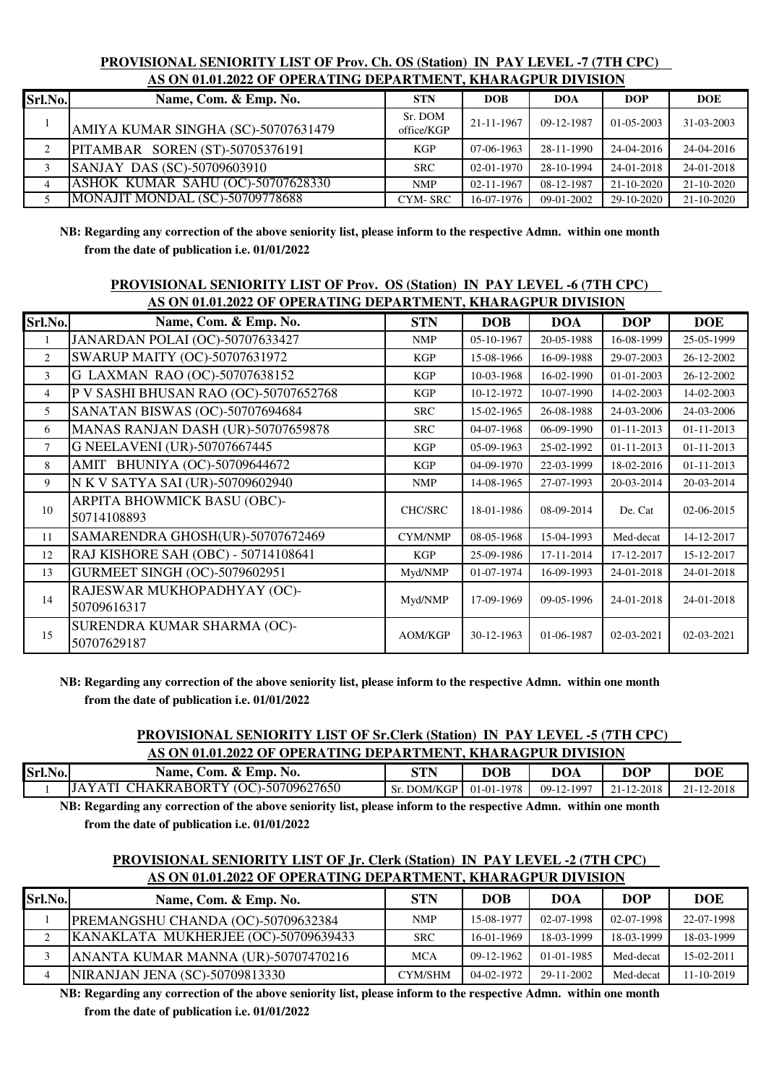### **PROVISIONAL SENIORITY LIST OF Prov. Ch. OS (Station) IN PAY LEVEL -7 (7TH CPC) AS ON 01.01.2022 OF OPERATING DEPARTMENT, KHARAGPUR DIVISION**

| Srl.No. | Name, Com. & Emp. No.               | <b>STN</b>            | <b>DOB</b>       | <b>DOA</b> | <b>DOP</b>   | <b>DOE</b>       |
|---------|-------------------------------------|-----------------------|------------------|------------|--------------|------------------|
|         | AMIYA KUMAR SINGHA (SC)-50707631479 | Sr. DOM<br>office/KGP | 21-11-1967       | 09-12-1987 | $01-05-2003$ | 31-03-2003       |
|         | PITAMBAR SOREN (ST)-50705376191     | <b>KGP</b>            | $07-06-1963$     | 28-11-1990 | 24-04-2016   | 24-04-2016       |
|         | SANJAY DAS (SC)-50709603910         | <b>SRC</b>            | $02-01-1970$     | 28-10-1994 | 24-01-2018   | 24-01-2018       |
|         | ASHOK KUMAR SAHU (OC)-50707628330   | <b>NMP</b>            | $02 - 11 - 1967$ | 08-12-1987 | 21-10-2020   | $21 - 10 - 2020$ |
|         | MONAJIT MONDAL (SC)-50709778688     | <b>CYM-SRC</b>        | 16-07-1976       | 09-01-2002 | 29-10-2020   | 21-10-2020       |

 **NB: Regarding any correction of the above seniority list, please inform to the respective Admn. within one month from the date of publication i.e. 01/01/2022**

### **PROVISIONAL SENIORITY LIST OF Prov. OS (Station) IN PAY LEVEL -6 (7TH CPC) AS ON 01.01.2022 OF OPERATING DEPARTMENT, KHARAGPUR DIVISION**

|                | to on vitalized of ordinaring permitting infinition on product |                |            |            |            |            |
|----------------|----------------------------------------------------------------|----------------|------------|------------|------------|------------|
| Srl.No.        | Name, Com. & Emp. No.                                          | <b>STN</b>     | <b>DOB</b> | <b>DOA</b> | <b>DOP</b> | <b>DOE</b> |
|                | JANARDAN POLAI (OC)-50707633427                                | <b>NMP</b>     | 05-10-1967 | 20-05-1988 | 16-08-1999 | 25-05-1999 |
| 2              | <b>SWARUP MAITY (OC)-50707631972</b>                           | <b>KGP</b>     | 15-08-1966 | 16-09-1988 | 29-07-2003 | 26-12-2002 |
| 3              | G LAXMAN RAO (OC)-50707638152                                  | <b>KGP</b>     | 10-03-1968 | 16-02-1990 | 01-01-2003 | 26-12-2002 |
| $\overline{4}$ | P V SASHI BHUSAN RAO (OC)-50707652768                          | <b>KGP</b>     | 10-12-1972 | 10-07-1990 | 14-02-2003 | 14-02-2003 |
| 5              | SANATAN BISWAS (OC)-50707694684                                | <b>SRC</b>     | 15-02-1965 | 26-08-1988 | 24-03-2006 | 24-03-2006 |
| 6              | MANAS RANJAN DASH (UR)-50707659878                             | <b>SRC</b>     | 04-07-1968 | 06-09-1990 | 01-11-2013 | 01-11-2013 |
| $\tau$         | G NEELAVENI (UR)-50707667445                                   | <b>KGP</b>     | 05-09-1963 | 25-02-1992 | 01-11-2013 | 01-11-2013 |
| 8              | AMIT BHUNIYA (OC)-50709644672                                  | <b>KGP</b>     | 04-09-1970 | 22-03-1999 | 18-02-2016 | 01-11-2013 |
| 9              | N K V SATYA SAI (UR)-50709602940                               | <b>NMP</b>     | 14-08-1965 | 27-07-1993 | 20-03-2014 | 20-03-2014 |
| 10             | ARPITA BHOWMICK BASU (OBC)-                                    | <b>CHC/SRC</b> | 18-01-1986 | 08-09-2014 | De. Cat    | 02-06-2015 |
|                | 50714108893                                                    |                |            |            |            |            |
| 11             | SAMARENDRA GHOSH(UR)-50707672469                               | CYM/NMP        | 08-05-1968 | 15-04-1993 | Med-decat  | 14-12-2017 |
| 12             | RAJ KISHORE SAH (OBC) - 50714108641                            | KGP            | 25-09-1986 | 17-11-2014 | 17-12-2017 | 15-12-2017 |
| 13             | <b>GURMEET SINGH (OC)-5079602951</b>                           | Myd/NMP        | 01-07-1974 | 16-09-1993 | 24-01-2018 | 24-01-2018 |
| 14             | RAJESWAR MUKHOPADHYAY (OC)-                                    |                | 17-09-1969 | 09-05-1996 | 24-01-2018 | 24-01-2018 |
|                | 50709616317                                                    | Myd/NMP        |            |            |            |            |
| 15             | SURENDRA KUMAR SHARMA (OC)-                                    | <b>AOM/KGP</b> | 30-12-1963 | 01-06-1987 | 02-03-2021 | 02-03-2021 |
|                | 50707629187                                                    |                |            |            |            |            |

 **NB: Regarding any correction of the above seniority list, please inform to the respective Admn. within one month from the date of publication i.e. 01/01/2022**

| <b>PROVISIONAL SENIORITY LIST OF Sr. Clerk (Station) IN PAY LEVEL -5 (7TH CPC)</b> |  |
|------------------------------------------------------------------------------------|--|
| AS ON 01.01.2022 OF OPERATING DEPARTMENT, KHARAGPUR DIVISION                       |  |

| Srl.No. | Name, Com. & Emp.<br>No.            | STN                                      | <b>DOB</b> | DOA                     | <b>DOP</b> | <b>DOE</b> |
|---------|-------------------------------------|------------------------------------------|------------|-------------------------|------------|------------|
|         | JAYATI CHAKRABORTY (OC)-50709627650 | $\Gamma$ Sr. DOM/KGP $\Gamma$ 01-01-1978 |            | $09-12-1997$ 21-12-2018 |            | 21-12-2018 |

 **NB: Regarding any correction of the above seniority list, please inform to the respective Admn. within one month from the date of publication i.e. 01/01/2022**

| <b>PROVISIONAL SENIORITY LIST OF Jr. Clerk (Station) IN PAY LEVEL -2 (7TH CPC)</b> |
|------------------------------------------------------------------------------------|
| AS ON 01.01.2022 OF OPERATING DEPARTMENT, KHARAGPUR DIVISION                       |

| Srl.No. | Name, Com. & Emp. No.                | <b>STN</b>     | <b>DOB</b> | DOA        | <b>DOP</b> | <b>DOE</b> |
|---------|--------------------------------------|----------------|------------|------------|------------|------------|
|         | PREMANGSHU CHANDA (OC)-50709632384   | <b>NMP</b>     | 15-08-1977 | 02-07-1998 | 02-07-1998 | 22-07-1998 |
|         | KANAKLATA MUKHERJEE (OC)-50709639433 | <b>SRC</b>     | 16-01-1969 | 18-03-1999 | 18-03-1999 | 18-03-1999 |
|         | ANANTA KUMAR MANNA (UR)-50707470216  | <b>MCA</b>     | 09-12-1962 | 01-01-1985 | Med-decat  | 15-02-2011 |
|         | NIRANJAN JENA (SC)-50709813330       | <b>CYM/SHM</b> | 04-02-1972 | 29-11-2002 | Med-decat  | 11-10-2019 |